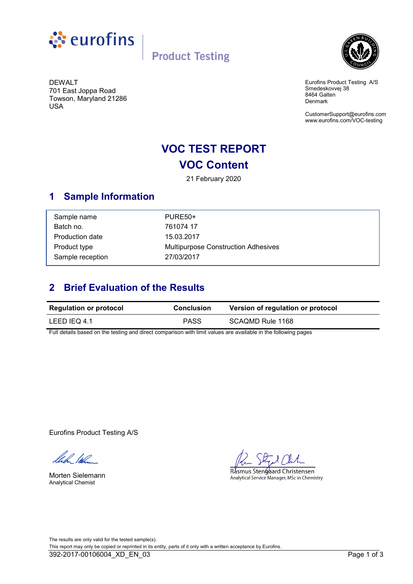

**Product Testing** 



DEWALT 701 East Joppa Road Towson, Maryland 21286 USA

Eurofins Product Testing A/S Smedeskovvej 38 8464 Galten Denmark

CustomerSupport@eurofins.com www.eurofins.com/VOC-testing

## **VOC TEST REPORT VOC Content**

21 February 2020

## **1 Sample Information**

| Sample name      | PURE <sub>50</sub> +                       |
|------------------|--------------------------------------------|
| Batch no.        | 761074 17                                  |
| Production date  | 15.03.2017                                 |
| Product type     | <b>Multipurpose Construction Adhesives</b> |
| Sample reception | 27/03/2017                                 |

## **2 Brief Evaluation of the Results**

| <b>Regulation or protocol</b> | <b>Conclusion</b> | Version of regulation or protocol |
|-------------------------------|-------------------|-----------------------------------|
| LEED IEQ 4.1                  | PASS              | SCAQMD Rule 1168                  |

Full details based on the testing and direct comparison with limit values are available in the following pages

Eurofins Product Testing A/S

llech lølen

Morten Sielemann Analytical Chemist

Rásmus Stengaard Christensen Analytical Service Manager, MSc in Chemistry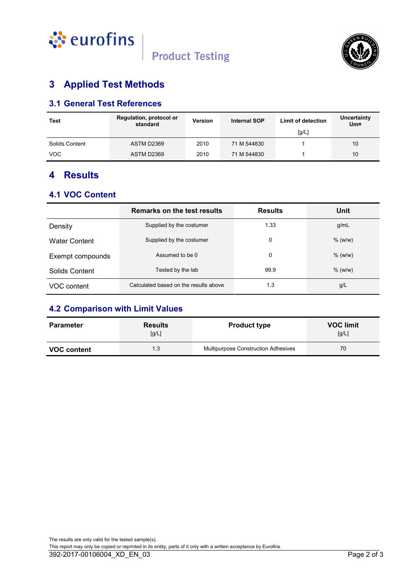



## **3 Applied Test Methods**

## **3.1 General Test References**

| Test           | Regulation, protocol or<br>standard | <b>Version</b> | <b>Internal SOP</b> | <b>Limit of detection</b> | Uncertainty<br>Um¤ |
|----------------|-------------------------------------|----------------|---------------------|---------------------------|--------------------|
|                |                                     |                |                     | [g/L]                     |                    |
| Solids Content | ASTM D2369                          | 2010           | 71 M 544830         |                           | 10                 |
| <b>VOC</b>     | ASTM D2369                          | 2010           | 71 M 544830         |                           | 10                 |

## **4 Results**

### **4.1 VOC Content**

|                      | Remarks on the test results           | <b>Results</b> | Unit      |
|----------------------|---------------------------------------|----------------|-----------|
| Density              | Supplied by the costumer              | 1.33           | g/mL      |
| <b>Water Content</b> | Supplied by the costumer              | 0              | $%$ (w/w) |
| Exempt compounds     | Assumed to be 0                       | 0              | $%$ (w/w) |
| Solids Content       | Tested by the lab                     | 99.9           | $%$ (w/w) |
| VOC content          | Calculated based on the results above | 1.3            | g/L       |

## **4.2 Comparison with Limit Values**

| <b>Parameter</b>   | <b>Results</b><br>[g/L] | <b>Product type</b>                 | <b>VOC limit</b><br>[g/L] |
|--------------------|-------------------------|-------------------------------------|---------------------------|
| <b>VOC content</b> | 1.3                     | Multipurpose Construction Adhesives | 70                        |